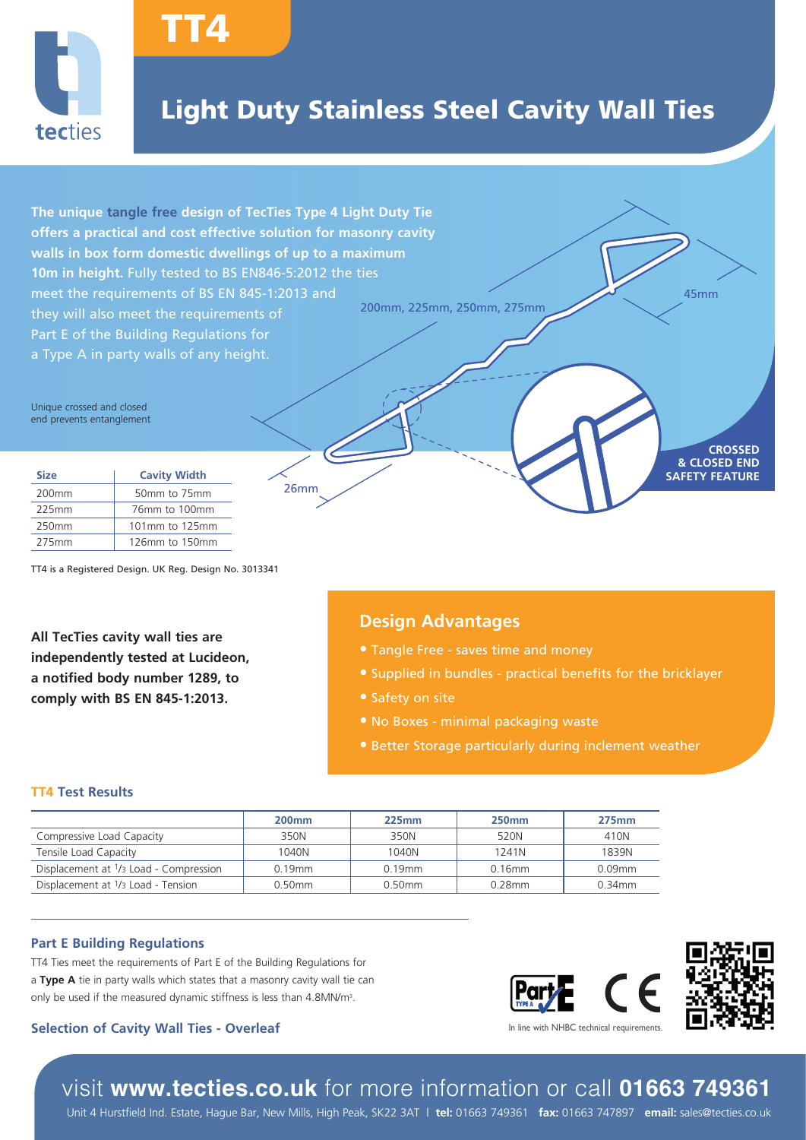

## Light Duty Stainless Steel Cavity Wall Ties

**The unique tangle free design of TecTies Type 4 Light Duty Tie offers a practical and cost effective solution for masonry cavity walls in box form domestic dwellings of up to a maximum 10m in height.** Fully tested to BS EN846-5:2012 the ties meet the requirements of BS EN 845-1:2013 and they will also meet the requirements of Part E of the Building Regulations for a Type A in party walls of any height.

**TT4** 



TT4 is a Registered Design. UK Reg. Design No. 3013341

 250mm 101mm to 125mm 275mm 126mm to 150mm

**All TecTies cavity wall ties are independently tested at Lucideon, a notified body number 1289, to comply with BS EN 845-1:2013.**

### **Design Advantages**

- **•** Tangle Free saves time and money
- Supplied in bundles practical benefits for the bricklayer
- 
- **•** No Boxes minimal packaging waste
- **•** Better Storage particularly during inclement weather

### **TT4 Test Results**

|                                                            | <b>200mm</b> | 225mm     | <b>250mm</b> | 275mm     |
|------------------------------------------------------------|--------------|-----------|--------------|-----------|
| Compressive Load Capacity                                  | 350N         | 350N      | 520N         | 410N      |
| Tensile Load Capacity                                      | 1040N        | 1040N     | 1241N        | 1839N     |
| Displacement at 1/3 Load - Compression                     | $0.19$ mm    | $0.19$ mm | $0.16$ mm    | $0.09$ mm |
| Displacement at <sup>1</sup> / <sub>3</sub> Load - Tension | $0.50$ mm    | 0.50mm    | $0.28$ mm    | $0.34$ mm |

#### **Part E Building Regulations**

TT4 Ties meet the requirements of Part E of the Building Regulations for a **Type A** tie in party walls which states that a masonry cavity wall tie can only be used if the measured dynamic stiffness is less than 4.8MN/m<sup>3</sup>.

### **Selection of Cavity Wall Ties - Overleaf**





In line with NHBC technical requirements

## visit **www.tecties.co.uk** for more information or call **01663 749361**

Unit 4 Hurstfield Ind. Estate, Hague Bar, New Mills, High Peak, SK22 3AT | **tel:** 01663 749361 **fax:** 01663 747897 **email:** sales@tecties.co.uk